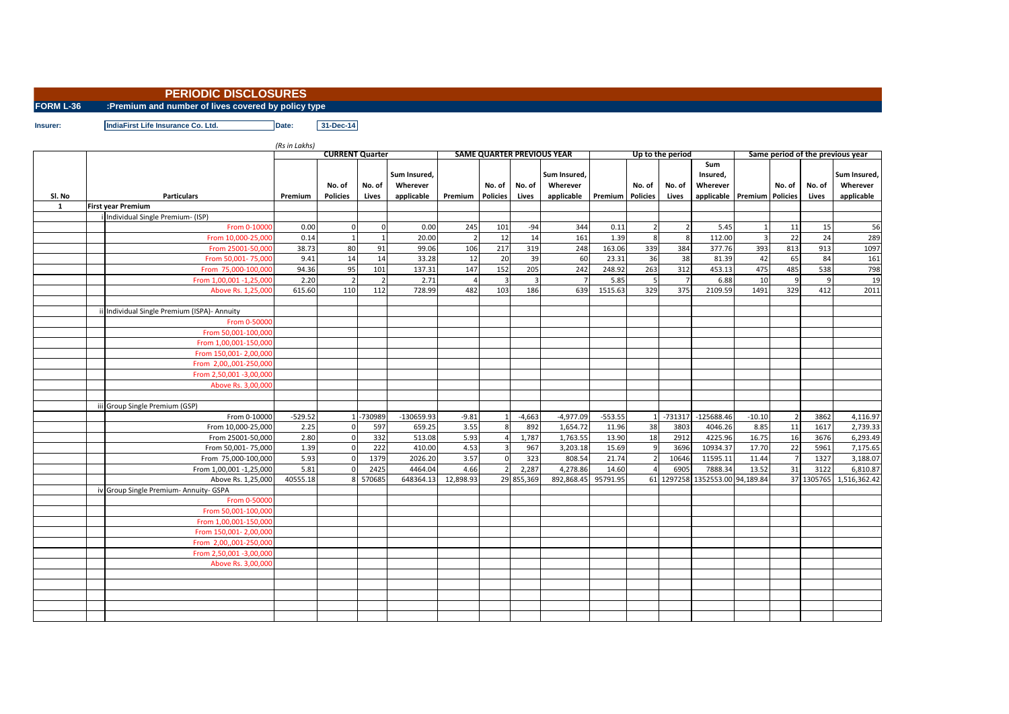## **PERIODIC DISCLOSURES**

**FORM L-36 :Premium and number of lives covered by policy type**

**Insurer: IndiaFirst Life Insurance Co. Ltd. Date: 31-Dec-14**

*(Rs in Lakhs)* **Premium No. of Policies No. of Lives Sum Insured, Wherever applicable Premium No. of Policies No. of Lives Sum Insured, Wherever applicable Premium No. of Policies No. of Lives Sum Insured, Wherever applicable Premium No. of Premium** Policies **No. of Lives Sum Insured, Wherever applicable 1 First year Premium** i Individual Single Premium- (ISP) From 0-10000| 0.00| 0| 0| 0.00| 245| 101| -94| 344| 0.11| 2| 2| 5.45| 1| 11| 15| 56 From 10,000-25,000 0.14 1 1 20.00 2 12 14 161 1.39 8 8 112.00 3 22 24 289 From 25001-50,000 38.73 80 91 99.06 106 217 319 248 163.06 339 384 377.76 393 813 913 1097 From 50,001- 75,000 9.41 14 14 33.28 12 20 39 60 23.31 36 38 81.39 42 65 84 161 From 75,000-100,000 94.36 95 101 137.31 147 152 205 242 248.92 263 312 453.13 475 485 538 798 From 1,00,001 -1,25,000 2.20 2 2 2.71 4 3 3 7 5.85 5 7 6.88 10 9 9 19 Above Rs. 1,25,000 615.60 110 112 728.99 482 103 186 639 1515.63 329 375 2109.59 1491 329 412 2011 412 2011 20 Individual Single Premium (ISPA)- Annuity **From 0-5000** From 50,001-100,00 From 1,00,001-150,00 From 150,001- 2,00,00 From 2,00,,001-250,00 From 2,50,001 -3,00,00 Above Rs. 3,00,00 iii Group Single Premium (GSP) From 0-10000 -529.52 1 -730989 -130659.93 -9.81 1 -4,663 -4,977.09 -553.55 1 -731317 -125688.46 -10.10 2 3862 4,116.97 From 10,000-25,000 2.25 0 597 659.25 3.55 8 892 1,654.72 11.96 38 3803 4046.26 8.85 11 1617 2,739.33 From 25001-50,000 2.80 0 332 513.08 5.93 4 1,787 1,763.55 13.90 18 2912 4225.96 16.75 16 3676 6,293.49 From 50,001- 75,000 1.39 0 222 410.00 4.53 3 967 3,203.18 15.69 9 3696 10934.37 17.70 22 5961 7,175.65 From 75,000-100,000 5.93 0 1379 2026.20 3.57 0 323 808.54 21.74 2 10646 11595.11 11.44 7 1327 3,188.07 From 1,00,001 -1,25,000 5.81 0 2425 4464.04 4.66 2 2,287 4,278.86 14.60 4 6905 7888.34 13.52 31 3122 6,810.87 Above Rs. 1,25,000 40555.18 8 570685 648364.13 12,898.93 29 855,369 892,868.45 95791.95 61 1297258 1352553.00 94,189.84 37 1305765 1,516,362.42 iv Group Single Premium- Annuity- GSPA **From 0-5000** From 50,001-100,000 From 1,00,001-150,000 From 150,001- 2,00,00 From 2,00.,001-250.00 From 2,50,001 -3,00,000 Above Rs. 3,00,00 **Same period of the previous year Sl. No Particulars CURRENT Quarter SAME QUARTER PREVIOUS YEAR Up to the period**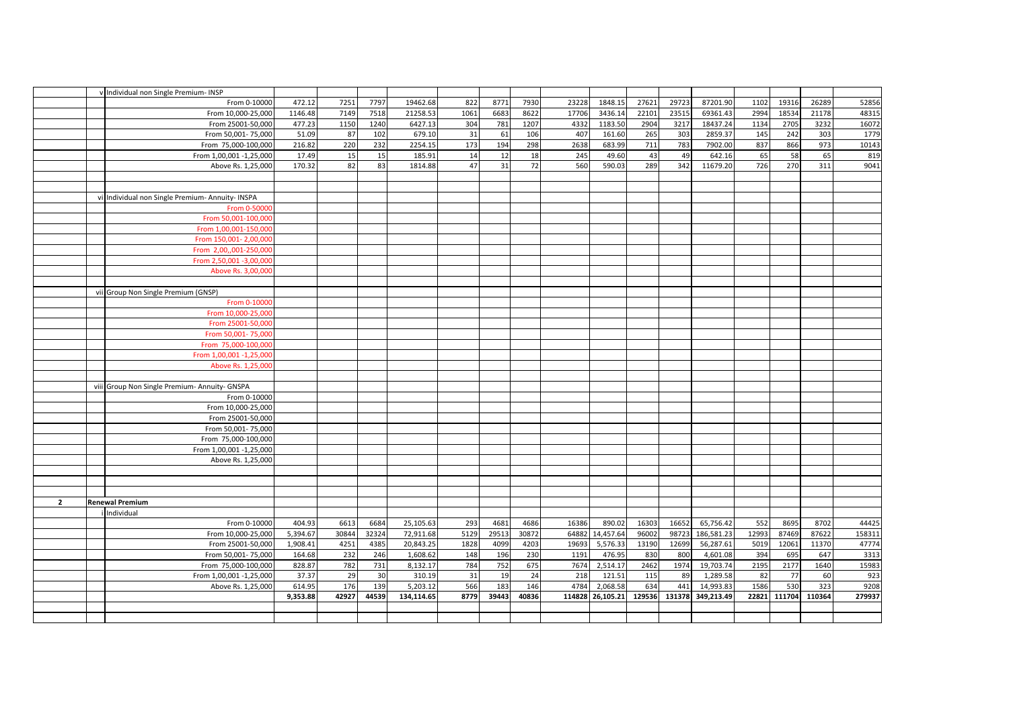|                | v Individual non Single Premium- INSP            |          |       |       |            |      |       |       |       |                  |        |        |            |       |        |        |        |
|----------------|--------------------------------------------------|----------|-------|-------|------------|------|-------|-------|-------|------------------|--------|--------|------------|-------|--------|--------|--------|
|                | From 0-10000                                     | 472.12   | 7251  | 7797  | 19462.68   | 822  | 8771  | 7930  | 23228 | 1848.15          | 27621  | 29723  | 87201.90   | 1102  | 19316  | 26289  | 52856  |
|                | From 10,000-25,000                               | 1146.48  | 7149  | 7518  | 21258.53   | 1061 | 6683  | 8622  | 17706 | 3436.14          | 22101  | 23515  | 69361.43   | 2994  | 18534  | 21178  | 48315  |
|                | From 25001-50,000                                | 477.23   | 1150  | 1240  | 6427.13    | 304  | 781   | 1207  | 4332  | 1183.50          | 2904   | 3217   | 18437.24   | 1134  | 2705   | 3232   | 16072  |
|                | From 50,001-75,000                               | 51.09    | 87    | 102   | 679.10     | 31   | 61    | 106   | 407   | 161.60           | 265    | 303    | 2859.37    | 145   | 242    | 303    | 1779   |
|                | From 75,000-100,000                              | 216.82   | 220   | 232   | 2254.15    | 173  | 194   | 298   | 2638  | 683.99           | 711    | 783    | 7902.00    | 837   | 866    | 973    | 10143  |
|                | From 1,00,001 -1,25,000                          | 17.49    | 15    | 15    | 185.91     | 14   | 12    | 18    | 245   | 49.60            | 43     | 49     | 642.16     | 65    | 58     | 65     | 819    |
|                | Above Rs. 1,25,000                               | 170.32   | 82    | 83    | 1814.88    | 47   | 31    | 72    | 560   | 590.03           | 289    | 342    | 11679.20   | 726   | 270    | 311    | 9041   |
|                |                                                  |          |       |       |            |      |       |       |       |                  |        |        |            |       |        |        |        |
|                |                                                  |          |       |       |            |      |       |       |       |                  |        |        |            |       |        |        |        |
|                | vi Individual non Single Premium- Annuity- INSPA |          |       |       |            |      |       |       |       |                  |        |        |            |       |        |        |        |
|                | From 0-5000                                      |          |       |       |            |      |       |       |       |                  |        |        |            |       |        |        |        |
|                | From 50,001-100,000                              |          |       |       |            |      |       |       |       |                  |        |        |            |       |        |        |        |
|                | From 1,00,001-150,000                            |          |       |       |            |      |       |       |       |                  |        |        |            |       |        |        |        |
|                | From 150,001-2,00,000                            |          |       |       |            |      |       |       |       |                  |        |        |            |       |        |        |        |
|                | From 2,00,,001-250,00                            |          |       |       |            |      |       |       |       |                  |        |        |            |       |        |        |        |
|                | From 2,50,001 -3,00,000                          |          |       |       |            |      |       |       |       |                  |        |        |            |       |        |        |        |
|                | Above Rs. 3,00,000                               |          |       |       |            |      |       |       |       |                  |        |        |            |       |        |        |        |
|                |                                                  |          |       |       |            |      |       |       |       |                  |        |        |            |       |        |        |        |
|                | vii Group Non Single Premium (GNSP)              |          |       |       |            |      |       |       |       |                  |        |        |            |       |        |        |        |
|                | From 0-10000                                     |          |       |       |            |      |       |       |       |                  |        |        |            |       |        |        |        |
|                | From 10.000-25.000                               |          |       |       |            |      |       |       |       |                  |        |        |            |       |        |        |        |
|                | From 25001-50,00                                 |          |       |       |            |      |       |       |       |                  |        |        |            |       |        |        |        |
|                | From 50,001-75,000                               |          |       |       |            |      |       |       |       |                  |        |        |            |       |        |        |        |
|                | From 75,000-100,000                              |          |       |       |            |      |       |       |       |                  |        |        |            |       |        |        |        |
|                | From 1,00,001 -1,25,000                          |          |       |       |            |      |       |       |       |                  |        |        |            |       |        |        |        |
|                | Above Rs. 1,25,000                               |          |       |       |            |      |       |       |       |                  |        |        |            |       |        |        |        |
|                |                                                  |          |       |       |            |      |       |       |       |                  |        |        |            |       |        |        |        |
|                | viii Group Non Single Premium- Annuity- GNSPA    |          |       |       |            |      |       |       |       |                  |        |        |            |       |        |        |        |
|                | From 0-10000                                     |          |       |       |            |      |       |       |       |                  |        |        |            |       |        |        |        |
|                | From 10,000-25,000                               |          |       |       |            |      |       |       |       |                  |        |        |            |       |        |        |        |
|                | From 25001-50,000                                |          |       |       |            |      |       |       |       |                  |        |        |            |       |        |        |        |
|                | From 50,001-75,000                               |          |       |       |            |      |       |       |       |                  |        |        |            |       |        |        |        |
|                | From 75,000-100,000                              |          |       |       |            |      |       |       |       |                  |        |        |            |       |        |        |        |
|                | From 1,00,001 -1,25,000                          |          |       |       |            |      |       |       |       |                  |        |        |            |       |        |        |        |
|                | Above Rs. 1,25,000                               |          |       |       |            |      |       |       |       |                  |        |        |            |       |        |        |        |
|                |                                                  |          |       |       |            |      |       |       |       |                  |        |        |            |       |        |        |        |
|                |                                                  |          |       |       |            |      |       |       |       |                  |        |        |            |       |        |        |        |
|                |                                                  |          |       |       |            |      |       |       |       |                  |        |        |            |       |        |        |        |
| $\overline{2}$ | <b>Renewal Premium</b>                           |          |       |       |            |      |       |       |       |                  |        |        |            |       |        |        |        |
|                | Individual                                       |          |       |       |            |      |       |       |       |                  |        |        |            |       |        |        |        |
|                | From 0-10000                                     | 404.93   | 6613  | 6684  | 25,105.63  | 293  | 4681  | 4686  | 16386 | 890.02           | 16303  | 16652  | 65,756.42  | 552   | 8695   | 8702   | 44425  |
|                | From 10,000-25,000                               | 5,394.67 | 30844 | 32324 | 72,911.68  | 5129 | 29513 | 30872 | 64882 | 14,457.64        | 96002  | 98723  | 186,581.23 | 12993 | 87469  | 87622  | 158311 |
|                | From 25001-50,000                                | 1,908.41 | 4251  | 4385  | 20,843.25  | 1828 | 4099  | 4203  | 19693 | 5,576.33         | 13190  | 12699  | 56,287.61  | 5019  | 12061  | 11370  | 47774  |
|                | From 50,001-75,000                               | 164.68   | 232   | 246   | 1,608.62   | 148  | 196   | 230   | 1191  | 476.95           | 830    | 800    | 4,601.08   | 394   | 695    | 647    | 3313   |
|                | From 75,000-100,000                              | 828.87   | 782   | 731   | 8,132.17   | 784  | 752   | 675   | 7674  | 2,514.17         | 2462   | 1974   | 19,703.74  | 2195  | 2177   | 1640   | 15983  |
|                | From 1,00,001 -1,25,000                          | 37.37    | 29    | 30    | 310.19     | 31   | 19    | 24    | 218   | 121.51           | 115    | 89     | 1,289.58   | 82    | 77     | 60     | 923    |
|                | Above Rs. 1,25,000                               | 614.95   | 176   | 139   | 5,203.12   | 566  | 183   | 146   | 4784  | 2,068.58         | 634    | 441    | 14,993.83  | 1586  | 530    | 323    | 9208   |
|                |                                                  | 9,353.88 | 42927 | 44539 | 134,114.65 | 8779 | 39443 | 40836 |       | 114828 26,105.21 | 129536 | 131378 | 349,213.49 | 22821 | 111704 | 110364 | 279937 |
|                |                                                  |          |       |       |            |      |       |       |       |                  |        |        |            |       |        |        |        |
|                |                                                  |          |       |       |            |      |       |       |       |                  |        |        |            |       |        |        |        |